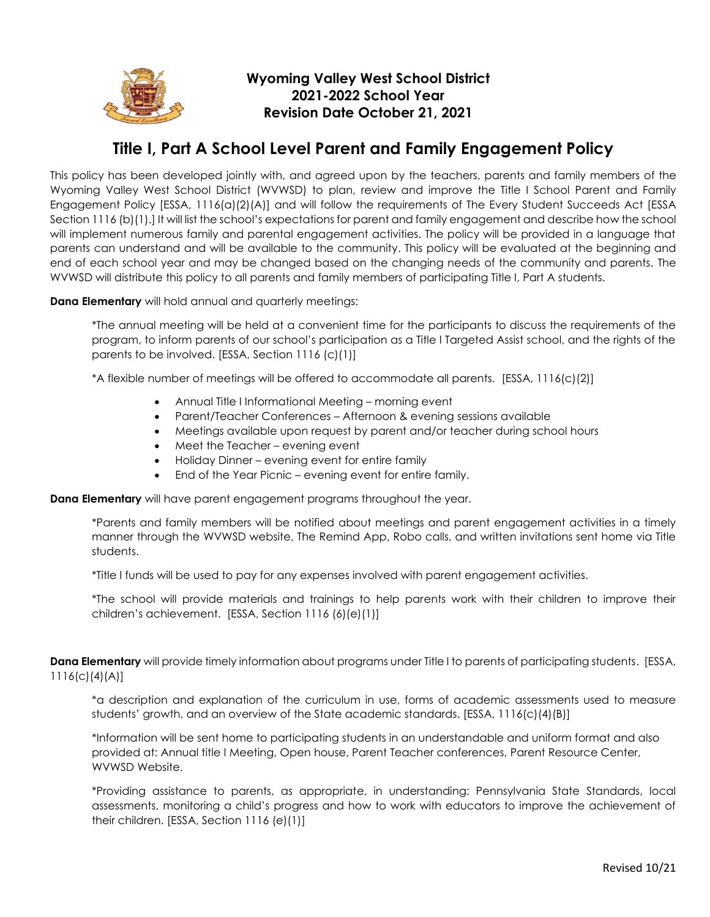

## **Wyoming Valley West School District 2021-2022 School Year Revision Date October 21, 2021**

## **Title I, Part A School Level Parent and Family Engagement Policy**

This policy has been developed jointly with, and agreed upon by the teachers, parents and family members of the Wyoming Valley West School District (WVWSD) to plan, review and improve the Title I School Parent and Family Engagement Policy [ESSA, 1116(a)(2)(A)] and will follow the requirements of The Every Student Succeeds Act [ESSA Section 1116 (b)(1).] It will list the school's expectations for parent and family engagement and describe how the school will implement numerous family and parental engagement activities. The policy will be provided in a language that parents can understand and will be available to the community. This policy will be evaluated at the beginning and end of each school year and may be changed based on the changing needs of the community and parents. The WVWSD will distribute this policy to all parents and family members of participating Title I, Part A students.

**Dana Elementary** will hold annual and quarterly meetings:

\*The annual meeting will be held at a convenient time for the participants to discuss the requirements of the program, to inform parents of our school's participation as a Title I Targeted Assist school, and the rights of the parents to be involved. [ESSA, Section 1116 (c)(1)]

\*A flexible number of meetings will be offered to accommodate all parents. [ESSA, 1116(c)(2)]

- Annual Title I Informational Meeting morning event
- Parent/Teacher Conferences Afternoon & evening sessions available
- Meetings available upon request by parent and/or teacher during school hours
- Meet the Teacher evening event
- Holiday Dinner evening event for entire family
- End of the Year Picnic evening event for entire family.

**Dana Elementary** will have parent engagement programs throughout the year.

\*Parents and family members will be notified about meetings and parent engagement activities in a timely manner through the WVWSD website, The Remind App, Robo calls, and written invitations sent home via Title students.

\*Title I funds will be used to pay for any expenses involved with parent engagement activities.

\*The school will provide materials and trainings to help parents work with their children to improve their children's achievement. [ESSA, Section 1116 (6)(e)(1)]

**Dana Elementary** will provide timely information about programs under Title I to parents of participating students. [ESSA, 1116(c)(4)(A)]

\*a description and explanation of the curriculum in use, forms of academic assessments used to measure students' growth, and an overview of the State academic standards. [ESSA, 1116(c)(4)(B)]

\*Information will be sent home to participating students in an understandable and uniform format and also provided at: Annual title I Meeting, Open house, Parent Teacher conferences, Parent Resource Center, WVWSD Website.

\*Providing assistance to parents, as appropriate, in understanding: Pennsylvania State Standards, local assessments, monitoring a child's progress and how to work with educators to improve the achievement of their children. [ESSA, Section 1116 (e)(1)]